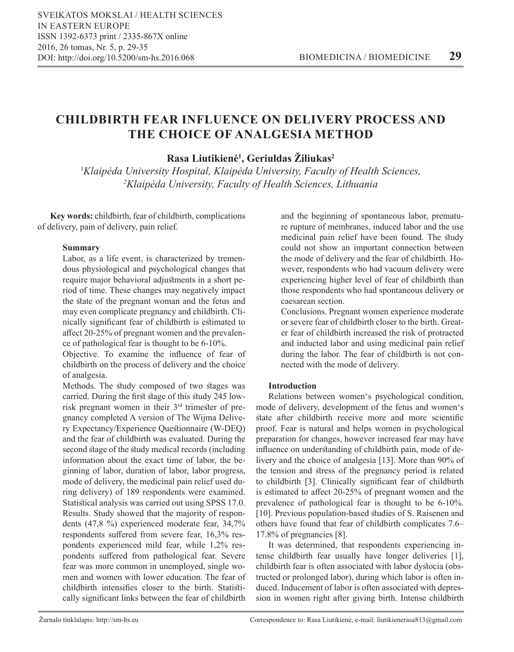# **CHILDBIRTH FEAR INFLUENCE ON DELIVERY PROCESS AND THE CHOICE OF ANALGESIA METHOD**

**Rasa Liutikienė<sup>1</sup> , Geriuldas Žiliukas<sup>2</sup>**

*1 Klaipėda University Hospital, Klaipėda University, Faculty of Health Sciences, 2 Klaipėda University, Faculty of Health Sciences, Lithuania* 

**Key words:** childbirth, fear of childbirth, complications of delivery, pain of delivery, pain relief.

# **Summary**

Labor, as a life event, is characterized by tremendous physiological and psychological changes that require major behavioral adjustments in a short period of time. These changes may negatively impact the state of the pregnant woman and the fetus and may even complicate pregnancy and childbirth. Clinically significant fear of childbirth is estimated to affect 20-25% of pregnant women and the prevalence of pathological fear is thought to be 6-10%.

Objective. To examine the influence of fear of childbirth on the process of delivery and the choice of analgesia.

Methods. The study composed of two stages was carried. During the first stage of this study 245 lowrisk pregnant women in their 3rd trimester of pregnancy completed A version of The Wijma Delivery Expectancy/Experience Questionnaire (W-DEQ) and the fear of childbirth was evaluated. During the second stage of the study medical records (including information about the exact time of labor, the beginning of labor, duration of labor, labor progress, mode of delivery, the medicinal pain relief used during delivery) of 189 respondents were examined. Statistical analysis was carried out using SPSS 17.0. Results. Study showed that the majority of respondents (47,8 %) experienced moderate fear, 34,7% respondents suffered from severe fear, 16,3% respondents experienced mild fear, while 1,2% respondents suffered from pathological fear. Severe fear was more common in unemployed, single women and women with lower education. The fear of childbirth intensifies closer to the birth. Statistically significant links between the fear of childbirth and the beginning of spontaneous labor, premature rupture of membranes, induced labor and the use medicinal pain relief have been found. The study could not show an important connection between the mode of delivery and the fear of childbirth. However, respondents who had vacuum delivery were experiencing higher level of fear of childbirth than those respondents who had spontaneous delivery or caesarean section.

Conclusions. Pregnant women experience moderate or severe fear of childbirth closer to the birth. Greater fear of childbirth increased the risk of protracted and inducted labor and using medicinal pain relief during the labor. The fear of childbirth is not connected with the mode of delivery.

# **Introduction**

Relations between women's psychological condition, mode of delivery, development of the fetus and women's state after childbirth receive more and more scientific proof. Fear is natural and helps women in psychological preparation for changes, however increased fear may have influence on understanding of childbirth pain, mode of delivery and the choice of analgesia [13]. More than 90% of the tension and stress of the pregnancy period is related to childbirth [3]. Clinically significant fear of childbirth is estimated to affect 20-25% of pregnant women and the prevalence of pathological fear is thought to be 6-10%. [10]. Previous population-based studies of S. Raisenen and others have found that fear of childbirth complicates 7.6– 17.8% of pregnancies [8].

It was determined, that respondents experiencing intense childbirth fear usually have longer deliveries [1], childbirth fear is often associated with labor dystocia (obstructed or prolonged labor), during which labor is often induced. Inducement of labor is often associated with depression in women right after giving birth. Intense childbirth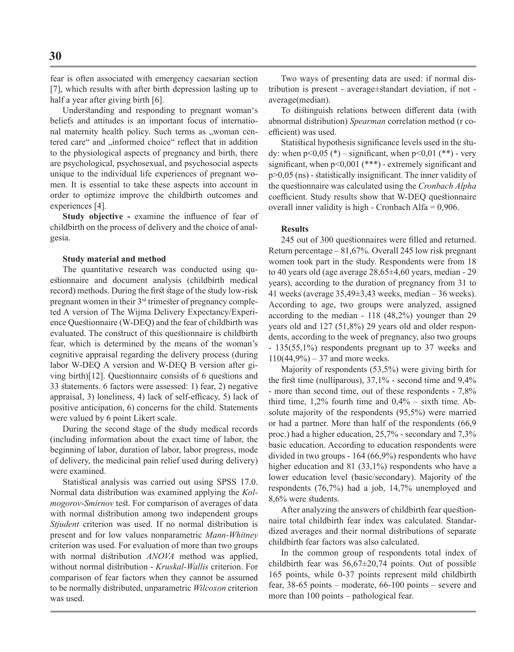fear is often associated with emergency caesarian section [7], which results with after birth depression lasting up to half a year after giving birth [6].

Understanding and responding to pregnant woman's beliefs and attitudes is an important focus of international maternity health policy. Such terms as "woman centered care" and "informed choice" reflect that in addition to the physiological aspects of pregnancy and birth, there are psychological, psychosexual, and psychosocial aspects unique to the individual life experiences of pregnant women. It is essential to take these aspects into account in order to optimize improve the childbirth outcomes and experiences [4].

**Study objective -** examine the influence of fear of childbirth on the process of delivery and the choice of analgesia.

# **Study material and method**

The quantitative research was conducted using questionnaire and document analysis (childbirth medical record) methods. During the first stage of the study low-risk pregnant women in their 3<sup>rd</sup> trimester of pregnancy completed A version of The Wijma Delivery Expectancy/Experience Questionnaire (W-DEQ) and the fear of childbirth was evaluated. The construct of this questionnaire is childbirth fear, which is determined by the means of the woman's cognitive appraisal regarding the delivery process (during labor W-DEQ A version and W-DEQ B version after giving birth)[12]. Questionnaire consists of 6 questions and 33 statements. 6 factors were assessed: 1) fear, 2) negative appraisal, 3) loneliness, 4) lack of self-efficacy, 5) lack of positive anticipation, 6) concerns for the child. Statements were valued by 6 point Likert scale.

During the second stage of the study medical records (including information about the exact time of labor, the beginning of labor, duration of labor, labor progress, mode of delivery, the medicinal pain relief used during delivery) were examined.

Statistical analysis was carried out using SPSS 17.0. Normal data distribution was examined applying the *Kolmogorov-Smirnov* test. For comparison of averages of data with normal distribution among two independent groups *Stjudent* criterion was used. If no normal distribution is present and for low values nonparametric *Mann-Whitney* criterion was used. For evaluation of more than two groups with normal distribution *ANOVA* method was applied, without normal distribution - *Kruskal-Wallis* criterion. For comparison of fear factors when they cannot be assumed to be normally distributed, unparametric *Wilcoxon* criterion was used.

Two ways of presenting data are used: if normal distribution is present - average±standart deviation, if not average(median).

To distinguish relations between different data (with abnormal distribution) *Spearman* correlation method (r coefficient) was used.

Statistical hypothesis significance levels used in the study: when  $p<0,05$  (\*) – significant, when  $p<0,01$  (\*\*) - very significant, when  $p<0,001$  (\*\*\*) - extremely significant and p>0,05 (ns) - statistically insignificant. The inner validity of the questionnaire was calculated using the *Cronbach Alpha* coefficient. Study results show that W-DEQ questionnaire overall inner validity is high - Cronbach Alfa =  $0,906$ .

#### **Results**

245 out of 300 questionnaires were filled and returned. Return percentage – 81,67%. Overall 245 low risk pregnant women took part in the study. Respondents were from 18 to 40 years old (age average 28,65±4,60 years, median - 29 years), according to the duration of pregnancy from 31 to 41 weeks (average 35,49±3,43 weeks, median – 36 weeks). According to age, two groups were analyzed, assigned according to the median - 118 (48,2%) younger than 29 years old and 127 (51,8%) 29 years old and older respondents, according to the week of pregnancy, also two groups - 135(55,1%) respondents pregnant up to 37 weeks and  $110(44,9\%) - 37$  and more weeks.

Majority of respondents (53,5%) were giving birth for the first time (nulliparous), 37,1% - second time and 9,4% - more than second time, out of these respondents - 7,8% third time,  $1,2\%$  fourth time and  $0,4\%$  – sixth time. Absolute majority of the respondents (95,5%) were married or had a partner. More than half of the respondents (66,9 proc.) had a higher education, 25,7% - secondary and 7,3% basic education. According to education respondents were divided in two groups - 164 (66,9%) respondents who have higher education and 81 (33,1%) respondents who have a lower education level (basic/secondary). Majority of the respondents (76,7%) had a job, 14,7% unemployed and 8,6% were students.

After analyzing the answers of childbirth fear questionnaire total childbirth fear index was calculated. Standardized averages and their normal distributions of separate childbirth fear factors was also calculated.

In the common group of respondents total index of childbirth fear was 56,67±20,74 points. Out of possible 165 points, while 0-37 points represent mild childbirth fear, 38-65 points – moderate, 66-100 points – severe and more than 100 points – pathological fear.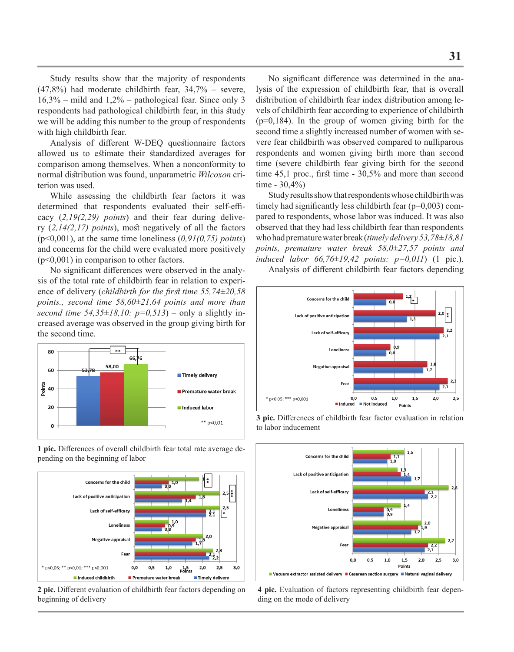Study results show that the majority of respondents  $(47,8\%)$  had moderate childbirth fear,  $34,7\%$  – severe, 16,3% – mild and 1,2% – pathological fear. Since only 3 respondents had pathological childbirth fear, in this study we will be adding this number to the group of respondents with high childbirth fear.

Analysis of different W-DEQ questionnaire factors allowed us to estimate their standardized averages for comparison among themselves. When a nonconformity to normal distribution was found, unparametric *Wilcoxon* criterion was used.

While assessing the childbirth fear factors it was determined that respondents evaluated their self-efficacy (*2,19(2,29) points*) and their fear during delivery (*2,14(2,17) points*), most negatively of all the factors (p<0,001), at the same time loneliness (*0,91(0,75) points*) and concerns for the child were evaluated more positively (p<0,001) in comparison to other factors.

No significant differences were observed in the analysis of the total rate of childbirth fear in relation to experience of delivery (*childbirth for the first time 55,74±20,58 points., second time 58,60±21,64 points and more than second time 54,35* $\pm$ *18,10: p=0,513*) – only a slightly increased average was observed in the group giving birth for the second time.



**1 pic.** Differences of overall childbirth fear total rate average depending on the beginning of labor



**2 pic.** Different evaluation of childbirth fear factors depending on beginning of delivery

No significant difference was determined in the analysis of the expression of childbirth fear, that is overall distribution of childbirth fear index distribution among levels of childbirth fear according to experience of childbirth  $(p=0,184)$ . In the group of women giving birth for the second time a slightly increased number of women with severe fear childbirth was observed compared to nulliparous respondents and women giving birth more than second time (severe childbirth fear giving birth for the second time 45,1 proc., first time - 30,5% and more than second time - 30,4%)

Study results show that respondents whose childbirth was timely had significantly less childbirth fear (p=0,003) compared to respondents, whose labor was induced. It was also observed that they had less childbirth fear than respondents who had premature water break (*timely delivery 53,78±18,81 points, premature water break 58,0±27,57 points and induced labor 66,76±19,42 points: p=0,011*) (1 pic.).

Analysis of different childbirth fear factors depending



**3 pic.** Differences of childbirth fear factor evaluation in relation to labor inducement



**4 pic.** Evaluation of factors representing childbirth fear depending on the mode of delivery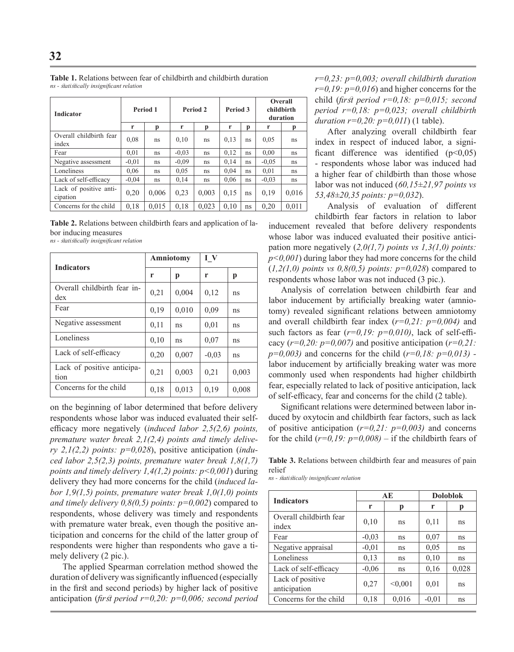| <b>Indicator</b>                   | Period 1 |       | Period 2 |       | Period 3 |    | Overall<br>childbirth<br>duration |       |
|------------------------------------|----------|-------|----------|-------|----------|----|-----------------------------------|-------|
|                                    | r        | р     | r        | р     | r        | p  | r                                 | p     |
| Overall childbirth fear<br>index   | 0,08     | ns    | 0,10     | ns    | 0.13     | ns | 0,05                              | ns    |
| Fear                               | 0.01     | ns    | $-0.03$  | ns.   | 0.12     | ns | 0.00                              | ns    |
| Negative assessment                | $-0.01$  | ns    | $-0.09$  | ns    | 0.14     | ns | $-0.05$                           | ns    |
| Loneliness                         | 0.06     | ns    | 0,05     | ns    | 0.04     | ns | 0,01                              | ns    |
| Lack of self-efficacy              | $-0.04$  | ns    | 0.14     | ns.   | 0.06     | ns | $-0.03$                           | ns    |
| Lack of positive anti-<br>cipation | 0,20     | 0,006 | 0,23     | 0,003 | 0,15     | ns | 0,19                              | 0,016 |
| Concerns for the child             | 0.18     | 0.015 | 0,18     | 0.023 | 0.10     | ns | 0.20                              | 0.011 |

**Table 1.** Relations between fear of childbirth and childbirth duration *ns - statistically insignificant relation*

**Table 2.** Relations between childbirth fears and application of labor inducing measures

*ns - statistically insignificant relation*

| <b>Indicators</b>                             |      | Amniotomy | I V     |       |  |
|-----------------------------------------------|------|-----------|---------|-------|--|
|                                               | r    | р         | r       | p     |  |
| Overall childbirth fear in-<br>$\frac{d}{dx}$ | 0,21 | 0,004     | 0,12    | ns    |  |
| Fear                                          | 0,19 | 0,010     | 0,09    | ns    |  |
| Negative assessment                           | 0,11 | ns        | 0.01    | ns    |  |
| Loneliness                                    | 0,10 | ns        | 0,07    | ns    |  |
| Lack of self-efficacy                         | 0,20 | 0,007     | $-0.03$ | ns    |  |
| Lack of positive anticipa-<br>tion            | 0,21 | 0,003     | 0,21    | 0,003 |  |
| Concerns for the child                        | 0,18 | 0,013     | 0,19    | 0,008 |  |

on the beginning of labor determined that before delivery respondents whose labor was induced evaluated their selfefficacy more negatively (*induced labor 2,5(2,6) points, premature water break 2,1(2,4) points and timely delivery 2,1(2,2) points: p=0,028*), positive anticipation (*induced labor 2,5(2,3) points, premature water break 1,8(1,7) points and timely delivery 1,4(1,2) points: p<0,001*) during delivery they had more concerns for the child (*induced labor 1,9(1,5) points, premature water break 1,0(1,0) points and timely delivery 0,8(0,5) points: p=0,002*) compared to respondents, whose delivery was timely and respondents with premature water break, even though the positive anticipation and concerns for the child of the latter group of respondents were higher than respondents who gave a timely delivery (2 pic.).

The applied Spearman correlation method showed the duration of delivery was significantly influenced (especially in the first and second periods) by higher lack of positive anticipation (*first period r=0,20: p=0,006; second period* 

*r=0,23: p=0,003; overall childbirth duration r=0,19: p=0,016*) and higher concerns for the child (*first period r=0,18: p=0,015; second period r=0,18: p=0,023; overall childbirth duration r=0,20: p=0,011*) (1 table).

After analyzing overall childbirth fear index in respect of induced labor, a significant difference was identified  $(p<0.05)$ - respondents whose labor was induced had a higher fear of childbirth than those whose labor was not induced (*60,15±21,97 points vs 53,48±20,35 points: p=0,032*).

Analysis of evaluation of different childbirth fear factors in relation to labor inducement revealed that before delivery respondents whose labor was induced evaluated their positive anticipation more negatively (*2,0(1,7) points vs 1,3(1,0) points: p<0,001*) during labor they had more concerns for the child  $(1,2(1,0)$  points vs  $0,8(0,5)$  points:  $p=0,028$  compared to respondents whose labor was not induced (3 pic.).

Analysis of correlation between childbirth fear and labor inducement by artificially breaking water (amniotomy) revealed significant relations between amniotomy and overall childbirth fear index (*r=0,21: p=0,004)* and such factors as fear (*r=0,19: p=0,010)*, lack of self-efficacy (*r=0,20: p=0,007)* and positive anticipation (*r=0,21: p=0,003)* and concerns for the child (*r=0,18: p=0,013)*  labor inducement by artificially breaking water was more commonly used when respondents had higher childbirth fear, especially related to lack of positive anticipation, lack of self-efficacy, fear and concerns for the child (2 table).

Significant relations were determined between labor induced by oxytocin and childbirth fear factors, such as lack of positive anticipation (*r=0,21: p=0,003)* and concerns for the child  $(r=0.19; p=0.008)$  – if the childbirth fears of

**Table 3.** Relations between childbirth fear and measures of pain relief

*ns - statistically insignificant relation*

| <b>Indicators</b>                |         | AE      | <b>Doloblok</b> |       |  |
|----------------------------------|---------|---------|-----------------|-------|--|
|                                  | r       | р       | r               | р     |  |
| Overall childbirth fear<br>index | 0,10    | ns      | 0,11            | ns    |  |
| Fear                             | $-0.03$ | ns      | 0,07            | ns    |  |
| Negative appraisal               | $-0,01$ | ns      | 0,05            | ns    |  |
| Loneliness                       | 0,13    | ns      | 0,10            | ns    |  |
| Lack of self-efficacy            | $-0.06$ | ns      | 0,16            | 0,028 |  |
| Lack of positive<br>anticipation | 0,27    | < 0.001 | 0,01            | ns    |  |
| Concerns for the child           | 0,18    | 0,016   | $-0.01$         | ns    |  |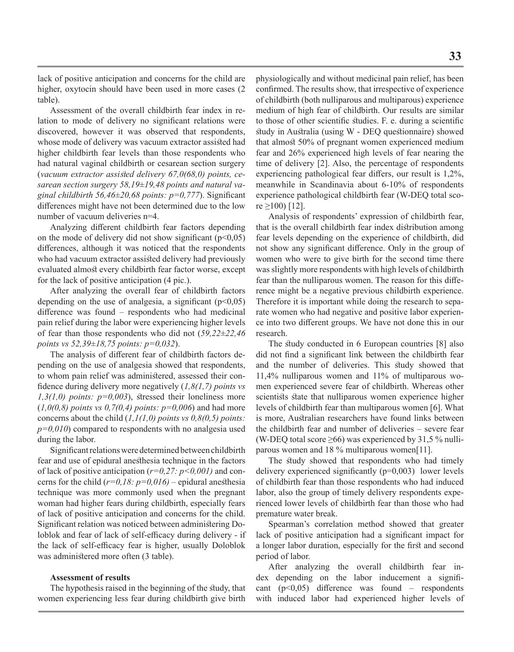lack of positive anticipation and concerns for the child are higher, oxytocin should have been used in more cases (2 table).

Assessment of the overall childbirth fear index in relation to mode of delivery no significant relations were discovered, however it was observed that respondents, whose mode of delivery was vacuum extractor assisted had higher childbirth fear levels than those respondents who had natural vaginal childbirth or cesarean section surgery (*vacuum extractor assisted delivery 67,0(68,0) points, cesarean section surgery 58,19±19,48 points and natural vaginal childbirth 56,46±20,68 points: p=0,777*). Significant differences might have not been determined due to the low number of vacuum deliveries n=4.

Analyzing different childbirth fear factors depending on the mode of delivery did not show significant  $(p<0.05)$ differences, although it was noticed that the respondents who had vacuum extractor assisted delivery had previously evaluated almost every childbirth fear factor worse, except for the lack of positive anticipation (4 pic.).

After analyzing the overall fear of childbirth factors depending on the use of analgesia, a significant  $(p<0,05)$ difference was found – respondents who had medicinal pain relief during the labor were experiencing higher levels of fear than those respondents who did not (*59,22±22,46 points vs 52,39±18,75 points: p=0,032*).

The analysis of different fear of childbirth factors depending on the use of analgesia showed that respondents, to whom pain relief was administered, assessed their confidence during delivery more negatively (*1,8(1,7) points vs 1,3(1,0) points: p=0,003*), stressed their loneliness more  $(1,0(0,8)$  *points vs* 0,7(0,4) *points:*  $p=0,006$  and had more concerns about the child (*1,1(1,0) points vs 0,8(0,5) points: p=0,010*) compared to respondents with no analgesia used during the labor.

Significant relations were determined between childbirth fear and use of epidural anesthesia technique in the factors of lack of positive anticipation (*r=0,27: p<0,001)* and concerns for the child  $(r=0,18: p=0,016)$  – epidural anesthesia technique was more commonly used when the pregnant woman had higher fears during childbirth, especially fears of lack of positive anticipation and concerns for the child. Significant relation was noticed between administering Doloblok and fear of lack of self-efficacy during delivery - if the lack of self-efficacy fear is higher, usually Doloblok was administered more often (3 table).

# **Assessment of results**

The hypothesis raised in the beginning of the study, that women experiencing less fear during childbirth give birth

physiologically and without medicinal pain relief, has been confirmed. The results show, that irrespective of experience of childbirth (both nulliparous and multiparous) experience medium of high fear of childbirth. Our results are similar to those of other scientific studies. F. e. during a scientific study in Australia (using W - DEQ questionnaire) showed that almost 50% of pregnant women experienced medium fear and 26% experienced high levels of fear nearing the time of delivery [2]. Also, the percentage of respondents experiencing pathological fear differs, our result is 1,2%, meanwhile in Scandinavia about 6-10% of respondents experience pathological childbirth fear (W-DEQ total sco $re$  ≥100) [12].

Analysis of respondents' expression of childbirth fear, that is the overall childbirth fear index distribution among fear levels depending on the experience of childbirth, did not show any significant difference. Only in the group of women who were to give birth for the second time there was slightly more respondents with high levels of childbirth fear than the nulliparous women. The reason for this difference might be a negative previous childbirth experience. Therefore it is important while doing the research to separate women who had negative and positive labor experience into two different groups. We have not done this in our research.

The study conducted in 6 European countries [8] also did not find a significant link between the childbirth fear and the number of deliveries. This study showed that 11,4% nulliparous women and 11% of multiparous women experienced severe fear of childbirth. Whereas other scientists state that nulliparous women experience higher levels of childbirth fear than multiparous women [6]. What is more, Australian researchers have found links between the childbirth fear and number of deliveries – severe fear (W-DEQ total score  $\geq 66$ ) was experienced by 31,5 % nulliparous women and 18 % multiparous women[11].

The study showed that respondents who had timely delivery experienced significantly (p=0,003) lower levels of childbirth fear than those respondents who had induced labor, also the group of timely delivery respondents experienced lower levels of childbirth fear than those who had premature water break.

Spearman's correlation method showed that greater lack of positive anticipation had a significant impact for a longer labor duration, especially for the first and second period of labor.

After analyzing the overall childbirth fear index depending on the labor inducement a significant  $(p<0.05)$  difference was found – respondents with induced labor had experienced higher levels of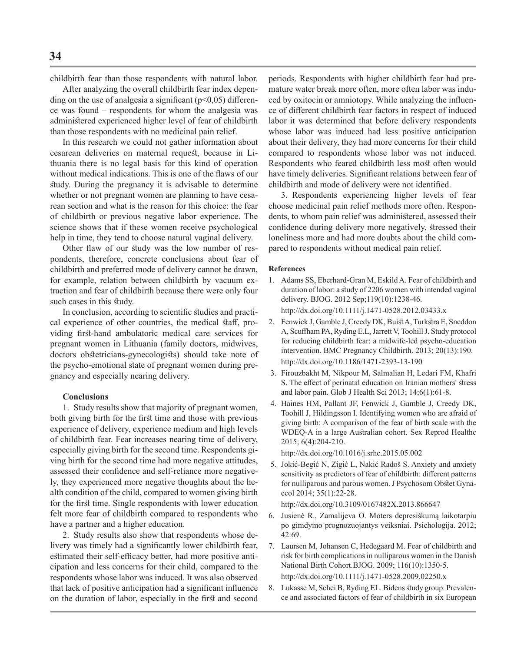childbirth fear than those respondents with natural labor.

After analyzing the overall childbirth fear index depending on the use of analgesia a significant ( $p$ <0,05) difference was found – respondents for whom the analgesia was administered experienced higher level of fear of childbirth than those respondents with no medicinal pain relief.

In this research we could not gather information about cesarean deliveries on maternal request, because in Lithuania there is no legal basis for this kind of operation without medical indications. This is one of the flaws of our study. During the pregnancy it is advisable to determine whether or not pregnant women are planning to have cesarean section and what is the reason for this choice: the fear of childbirth or previous negative labor experience. The science shows that if these women receive psychological help in time, they tend to choose natural vaginal delivery.

Other flaw of our study was the low number of respondents, therefore, concrete conclusions about fear of childbirth and preferred mode of delivery cannot be drawn, for example, relation between childbirth by vacuum extraction and fear of childbirth because there were only four such cases in this study.

In conclusion, according to scientific studies and practical experience of other countries, the medical staff, providing first-hand ambulatoric medical care services for pregnant women in Lithuania (family doctors, midwives, doctors obstetricians-gynecologists) should take note of the psycho-emotional state of pregnant women during pregnancy and especially nearing delivery.

## **Conclusions**

1. Study results show that majority of pregnant women, both giving birth for the first time and those with previous experience of delivery, experience medium and high levels of childbirth fear. Fear increases nearing time of delivery, especially giving birth for the second time. Respondents giving birth for the second time had more negative attitudes, assessed their confidence and self-reliance more negatively, they experienced more negative thoughts about the health condition of the child, compared to women giving birth for the first time. Single respondents with lower education felt more fear of childbirth compared to respondents who have a partner and a higher education.

2. Study results also show that respondents whose delivery was timely had a significantly lower childbirth fear, estimated their self-efficacy better, had more positive anticipation and less concerns for their child, compared to the respondents whose labor was induced. It was also observed that lack of positive anticipation had a significant influence on the duration of labor, especially in the first and second periods. Respondents with higher childbirth fear had premature water break more often, more often labor was induced by oxitocin or amniotopy. While analyzing the influence of different childbirth fear factors in respect of induced labor it was determined that before delivery respondents whose labor was induced had less positive anticipation about their delivery, they had more concerns for their child compared to respondents whose labor was not induced. Respondents who feared childbirth less most often would have timely deliveries. Significant relations between fear of childbirth and mode of delivery were not identified.

3. Respondents experiencing higher levels of fear choose medicinal pain relief methods more often. Respondents, to whom pain relief was administered, assessed their confidence during delivery more negatively, stressed their loneliness more and had more doubts about the child compared to respondents without medical pain relief.

#### **References**

- 1. Adams SS, Eberhard-Gran M, Eskild A. Fear of childbirth and duration of labor: a study of 2206 women with intended vaginal delivery. BJOG. 2012 Sep;119(10):1238-46. http://dx.doi.org/10.1111/j.1471-0528.2012.03433.x
- 2. Fenwick J, Gamble J, Creedy DK, Buist A, Turkstra E, Sneddon A, Scuffham PA, Ryding E.L, Jarrett V, Toohill J. Study protocol for reducing childbirth fear: a midwife-led psycho-education intervention. BMC Pregnancy Childbirth. 2013; 20(13):190. http://dx.doi.org/10.1186/1471-2393-13-190
- 3. Firouzbakht M, Nikpour M, Salmalian H, Ledari FM, Khafri S. The effect of perinatal education on Iranian mothers' stress and labor pain. Glob J Health Sci 2013; 14;6(1):61-8.
- 4. Haines HM, Pallant JF, Fenwick J, Gamble J, Creedy DK, Toohill J, Hildingsson I. Identifying women who are afraid of giving birth: A comparison of the fear of birth scale with the WDEQ-A in a large Australian cohort. Sex Reprod Healthc 2015; 6(4):204-210.

http://dx.doi.org/10.1016/j.srhc.2015.05.002

 5. Jokić-Begić N, Zigić L, Nakić Radoš S. Anxiety and anxiety sensitivity as predictors of fear of childbirth: different patterns for nulliparous and parous women. J Psychosom Obstet Gynaecol 2014; 35(1):22-28.

http://dx.doi.org/10.3109/0167482X.2013.866647

- 6. Jusienė R., Zamalijeva O. Moters depresiškumą laikotarpiu po gimdymo prognozuojantys veiksniai. Psichologija. 2012;  $42:69.$
- 7. Laursen M, Johansen C, Hedegaard M. Fear of childbirth and risk for birth complications in nulliparous women in the Danish National Birth Cohort.BJOG. 2009; 116(10):1350-5. http://dx.doi.org/10.1111/j.1471-0528.2009.02250.x
- 8. Lukasse M, Schei B, Ryding EL. Bidens study group. Prevalence and associated factors of fear of childbirth in six European